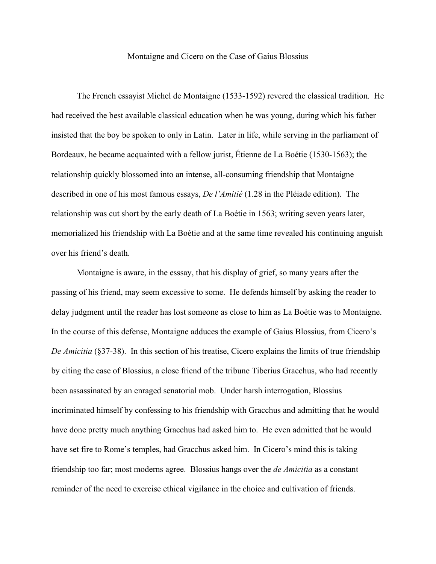## Montaigne and Cicero on the Case of Gaius Blossius

The French essayist Michel de Montaigne (1533-1592) revered the classical tradition. He had received the best available classical education when he was young, during which his father insisted that the boy be spoken to only in Latin. Later in life, while serving in the parliament of Bordeaux, he became acquainted with a fellow jurist, Étienne de La Boétie (1530-1563); the relationship quickly blossomed into an intense, all-consuming friendship that Montaigne described in one of his most famous essays, *De l'Amitié* (1.28 in the Pléiade edition). The relationship was cut short by the early death of La Boétie in 1563; writing seven years later, memorialized his friendship with La Boétie and at the same time revealed his continuing anguish over his friend's death.

Montaigne is aware, in the esssay, that his display of grief, so many years after the passing of his friend, may seem excessive to some. He defends himself by asking the reader to delay judgment until the reader has lost someone as close to him as La Boétie was to Montaigne. In the course of this defense, Montaigne adduces the example of Gaius Blossius, from Cicero's *De Amicitia* (§37-38). In this section of his treatise, Cicero explains the limits of true friendship by citing the case of Blossius, a close friend of the tribune Tiberius Gracchus, who had recently been assassinated by an enraged senatorial mob. Under harsh interrogation, Blossius incriminated himself by confessing to his friendship with Gracchus and admitting that he would have done pretty much anything Gracchus had asked him to. He even admitted that he would have set fire to Rome's temples, had Gracchus asked him. In Cicero's mind this is taking friendship too far; most moderns agree. Blossius hangs over the *de Amicitia* as a constant reminder of the need to exercise ethical vigilance in the choice and cultivation of friends.